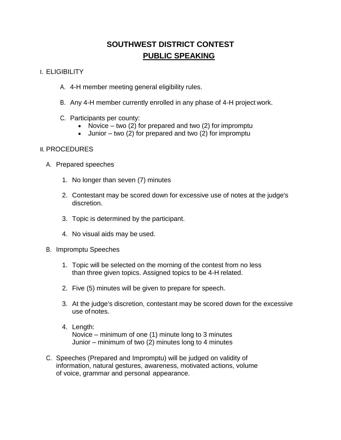## **SOUTHWEST DISTRICT CONTEST PUBLIC SPEAKING**

## I. ELIGIBILITY

- A. 4-H member meeting general eligibility rules.
- B. Any 4-H member currently enrolled in any phase of 4-H project work.
- C. Participants per county:
	- Novice two (2) for prepared and two (2) for impromptu
	- $\bullet$  Junior two (2) for prepared and two (2) for impromptu

## II. PROCEDURES

- A. Prepared speeches
	- 1. No longer than seven (7) minutes
	- 2. Contestant may be scored down for excessive use of notes at the judge's discretion.
	- 3. Topic is determined by the participant.
	- 4. No visual aids may be used.
- B. Impromptu Speeches
	- 1. Topic will be selected on the morning of the contest from no less than three given topics. Assigned topics to be 4-H related.
	- 2. Five (5) minutes will be given to prepare for speech.
	- 3. At the judge's discretion, contestant may be scored down for the excessive use ofnotes.
	- 4. Length: Novice – minimum of one (1) minute long to 3 minutes Junior – minimum of two (2) minutes long to 4 minutes
- C. Speeches (Prepared and Impromptu) will be judged on validity of information, natural gestures, awareness, motivated actions, volume of voice, grammar and personal appearance.